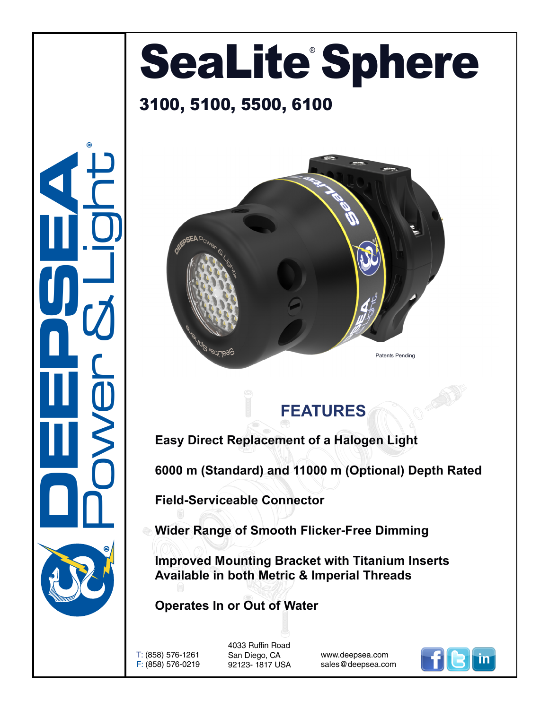## SeaLite Sphere

## 3100, 5100, 5500, 6100





**Easy Direct Replacement of a Halogen Light**

**6000 m (Standard) and 11000 m (Optional) Depth Rated**

**Field-Serviceable Connector**

**Wider Range of Smooth Flicker-Free Dimming**

**Improved Mounting Bracket with Titanium Inserts Available in both Metric & Imperial Threads**

**Operates In or Out of Water**

T: (858) 576-1261 F: (858) 576-0219

**DEEPSEA** 

Power & Light

®

4033 Ruffin Road San Diego, CA 92123- 1817 USA

www.deepsea.com sales@deepsea.com